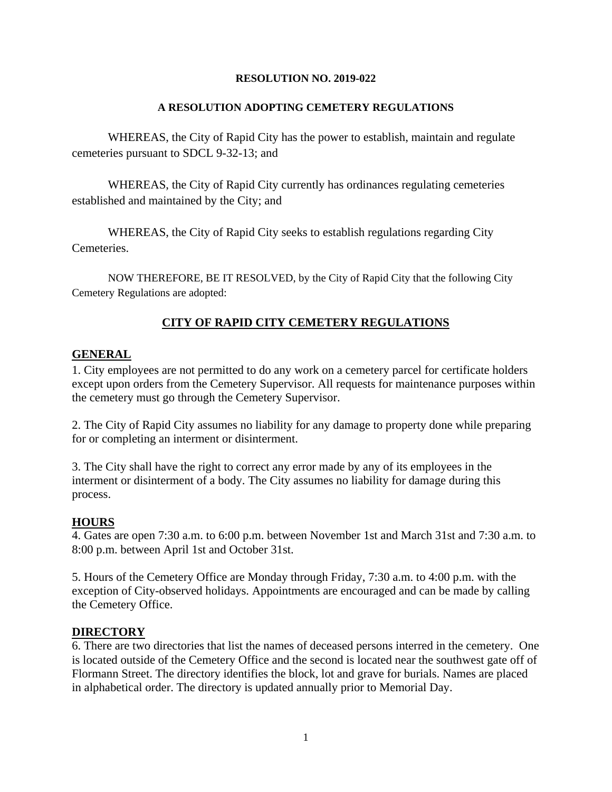## **RESOLUTION NO. 2019-022**

# **A RESOLUTION ADOPTING CEMETERY REGULATIONS**

WHEREAS, the City of Rapid City has the power to establish, maintain and regulate cemeteries pursuant to SDCL 9-32-13; and

WHEREAS, the City of Rapid City currently has ordinances regulating cemeteries established and maintained by the City; and

WHEREAS, the City of Rapid City seeks to establish regulations regarding City Cemeteries.

NOW THEREFORE, BE IT RESOLVED, by the City of Rapid City that the following City Cemetery Regulations are adopted:

# **CITY OF RAPID CITY CEMETERY REGULATIONS**

# **GENERAL**

1. City employees are not permitted to do any work on a cemetery parcel for certificate holders except upon orders from the Cemetery Supervisor. All requests for maintenance purposes within the cemetery must go through the Cemetery Supervisor.

2. The City of Rapid City assumes no liability for any damage to property done while preparing for or completing an interment or disinterment.

3. The City shall have the right to correct any error made by any of its employees in the interment or disinterment of a body. The City assumes no liability for damage during this process.

# **HOURS**

4. Gates are open 7:30 a.m. to 6:00 p.m. between November 1st and March 31st and 7:30 a.m. to 8:00 p.m. between April 1st and October 31st.

5. Hours of the Cemetery Office are Monday through Friday, 7:30 a.m. to 4:00 p.m. with the exception of City-observed holidays. Appointments are encouraged and can be made by calling the Cemetery Office.

# **DIRECTORY**

6. There are two directories that list the names of deceased persons interred in the cemetery. One is located outside of the Cemetery Office and the second is located near the southwest gate off of Flormann Street. The directory identifies the block, lot and grave for burials. Names are placed in alphabetical order. The directory is updated annually prior to Memorial Day.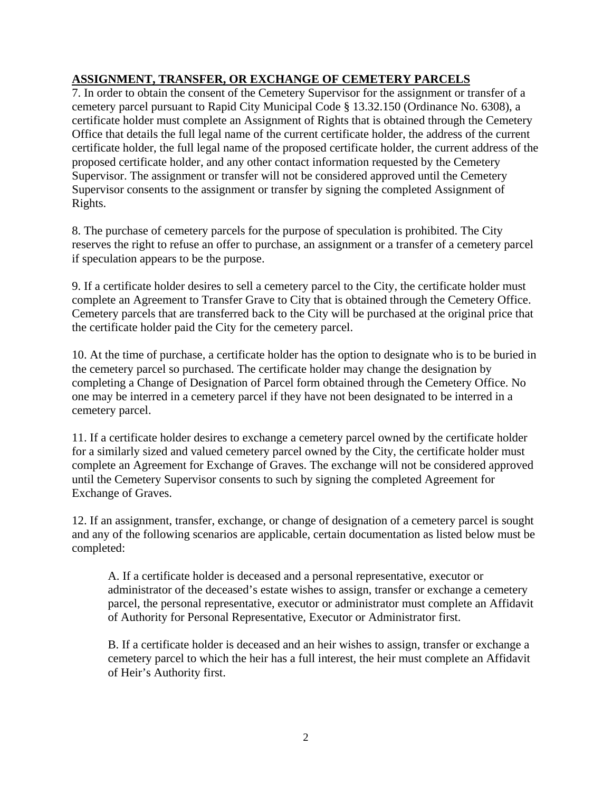# **ASSIGNMENT, TRANSFER, OR EXCHANGE OF CEMETERY PARCELS**

7. In order to obtain the consent of the Cemetery Supervisor for the assignment or transfer of a cemetery parcel pursuant to Rapid City Municipal Code § 13.32.150 (Ordinance No. 6308), a certificate holder must complete an Assignment of Rights that is obtained through the Cemetery Office that details the full legal name of the current certificate holder, the address of the current certificate holder, the full legal name of the proposed certificate holder, the current address of the proposed certificate holder, and any other contact information requested by the Cemetery Supervisor. The assignment or transfer will not be considered approved until the Cemetery Supervisor consents to the assignment or transfer by signing the completed Assignment of Rights.

8. The purchase of cemetery parcels for the purpose of speculation is prohibited. The City reserves the right to refuse an offer to purchase, an assignment or a transfer of a cemetery parcel if speculation appears to be the purpose.

9. If a certificate holder desires to sell a cemetery parcel to the City, the certificate holder must complete an Agreement to Transfer Grave to City that is obtained through the Cemetery Office. Cemetery parcels that are transferred back to the City will be purchased at the original price that the certificate holder paid the City for the cemetery parcel.

10. At the time of purchase, a certificate holder has the option to designate who is to be buried in the cemetery parcel so purchased. The certificate holder may change the designation by completing a Change of Designation of Parcel form obtained through the Cemetery Office. No one may be interred in a cemetery parcel if they have not been designated to be interred in a cemetery parcel.

11. If a certificate holder desires to exchange a cemetery parcel owned by the certificate holder for a similarly sized and valued cemetery parcel owned by the City, the certificate holder must complete an Agreement for Exchange of Graves. The exchange will not be considered approved until the Cemetery Supervisor consents to such by signing the completed Agreement for Exchange of Graves.

12. If an assignment, transfer, exchange, or change of designation of a cemetery parcel is sought and any of the following scenarios are applicable, certain documentation as listed below must be completed:

A. If a certificate holder is deceased and a personal representative, executor or administrator of the deceased's estate wishes to assign, transfer or exchange a cemetery parcel, the personal representative, executor or administrator must complete an Affidavit of Authority for Personal Representative, Executor or Administrator first.

B. If a certificate holder is deceased and an heir wishes to assign, transfer or exchange a cemetery parcel to which the heir has a full interest, the heir must complete an Affidavit of Heir's Authority first.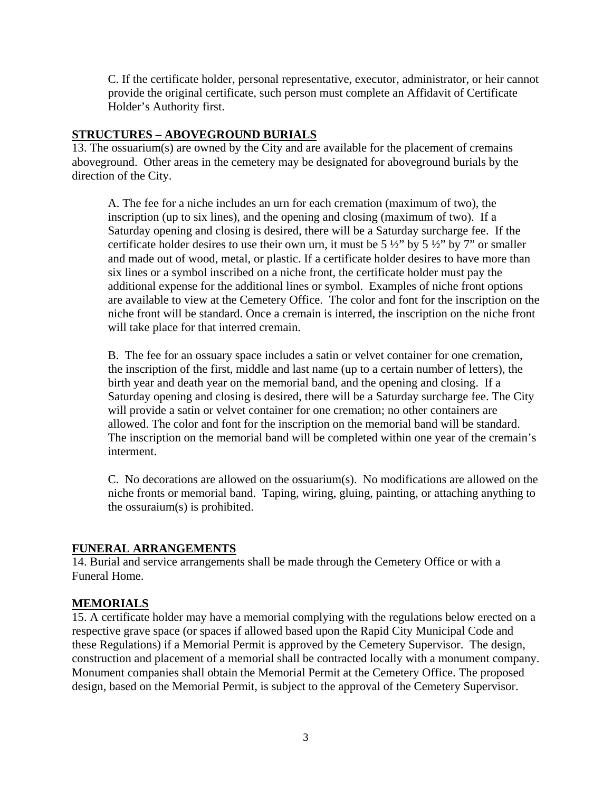C. If the certificate holder, personal representative, executor, administrator, or heir cannot provide the original certificate, such person must complete an Affidavit of Certificate Holder's Authority first.

# **STRUCTURES – ABOVEGROUND BURIALS**

13. The ossuarium(s) are owned by the City and are available for the placement of cremains aboveground. Other areas in the cemetery may be designated for aboveground burials by the direction of the City.

A. The fee for a niche includes an urn for each cremation (maximum of two), the inscription (up to six lines), and the opening and closing (maximum of two). If a Saturday opening and closing is desired, there will be a Saturday surcharge fee. If the certificate holder desires to use their own urn, it must be  $5\frac{1}{2}$  by  $5\frac{1}{2}$  by  $7$  or smaller and made out of wood, metal, or plastic. If a certificate holder desires to have more than six lines or a symbol inscribed on a niche front, the certificate holder must pay the additional expense for the additional lines or symbol. Examples of niche front options are available to view at the Cemetery Office. The color and font for the inscription on the niche front will be standard. Once a cremain is interred, the inscription on the niche front will take place for that interred cremain.

B. The fee for an ossuary space includes a satin or velvet container for one cremation, the inscription of the first, middle and last name (up to a certain number of letters), the birth year and death year on the memorial band, and the opening and closing. If a Saturday opening and closing is desired, there will be a Saturday surcharge fee. The City will provide a satin or velvet container for one cremation; no other containers are allowed. The color and font for the inscription on the memorial band will be standard. The inscription on the memorial band will be completed within one year of the cremain's interment.

C. No decorations are allowed on the ossuarium(s). No modifications are allowed on the niche fronts or memorial band. Taping, wiring, gluing, painting, or attaching anything to the ossuraium(s) is prohibited.

# **FUNERAL ARRANGEMENTS**

14. Burial and service arrangements shall be made through the Cemetery Office or with a Funeral Home.

# **MEMORIALS**

15. A certificate holder may have a memorial complying with the regulations below erected on a respective grave space (or spaces if allowed based upon the Rapid City Municipal Code and these Regulations) if a Memorial Permit is approved by the Cemetery Supervisor. The design, construction and placement of a memorial shall be contracted locally with a monument company. Monument companies shall obtain the Memorial Permit at the Cemetery Office. The proposed design, based on the Memorial Permit, is subject to the approval of the Cemetery Supervisor.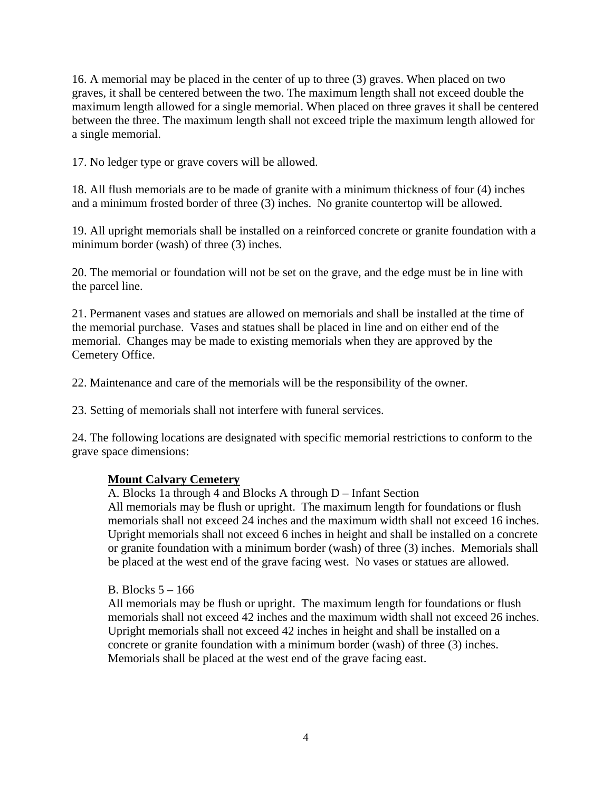16. A memorial may be placed in the center of up to three (3) graves. When placed on two graves, it shall be centered between the two. The maximum length shall not exceed double the maximum length allowed for a single memorial. When placed on three graves it shall be centered between the three. The maximum length shall not exceed triple the maximum length allowed for a single memorial.

17. No ledger type or grave covers will be allowed.

18. All flush memorials are to be made of granite with a minimum thickness of four (4) inches and a minimum frosted border of three (3) inches. No granite countertop will be allowed.

19. All upright memorials shall be installed on a reinforced concrete or granite foundation with a minimum border (wash) of three (3) inches.

20. The memorial or foundation will not be set on the grave, and the edge must be in line with the parcel line.

21. Permanent vases and statues are allowed on memorials and shall be installed at the time of the memorial purchase. Vases and statues shall be placed in line and on either end of the memorial. Changes may be made to existing memorials when they are approved by the Cemetery Office.

22. Maintenance and care of the memorials will be the responsibility of the owner.

23. Setting of memorials shall not interfere with funeral services.

24. The following locations are designated with specific memorial restrictions to conform to the grave space dimensions:

# **Mount Calvary Cemetery**

A. Blocks 1a through 4 and Blocks A through D – Infant Section All memorials may be flush or upright. The maximum length for foundations or flush memorials shall not exceed 24 inches and the maximum width shall not exceed 16 inches. Upright memorials shall not exceed 6 inches in height and shall be installed on a concrete or granite foundation with a minimum border (wash) of three (3) inches. Memorials shall be placed at the west end of the grave facing west. No vases or statues are allowed.

B. Blocks  $5 - 166$ 

All memorials may be flush or upright. The maximum length for foundations or flush memorials shall not exceed 42 inches and the maximum width shall not exceed 26 inches. Upright memorials shall not exceed 42 inches in height and shall be installed on a concrete or granite foundation with a minimum border (wash) of three (3) inches. Memorials shall be placed at the west end of the grave facing east.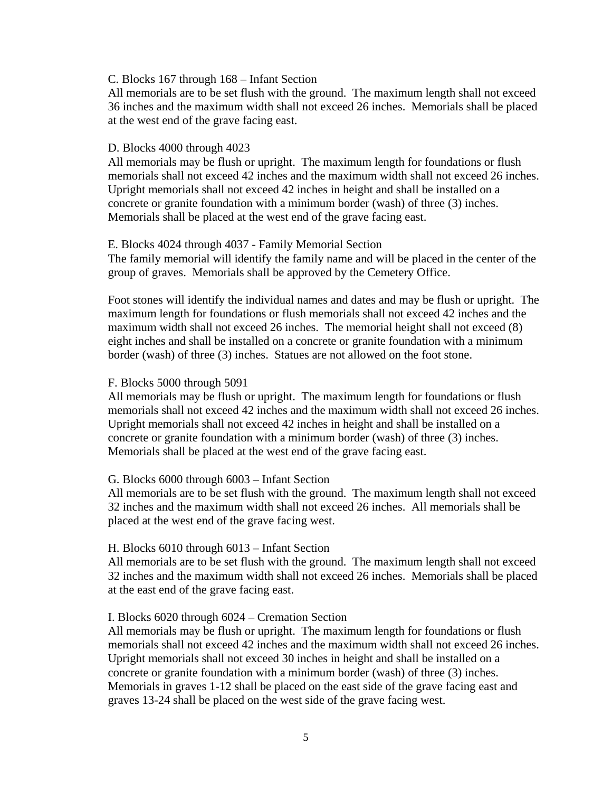#### C. Blocks 167 through 168 – Infant Section

All memorials are to be set flush with the ground. The maximum length shall not exceed 36 inches and the maximum width shall not exceed 26 inches. Memorials shall be placed at the west end of the grave facing east.

#### D. Blocks 4000 through 4023

All memorials may be flush or upright. The maximum length for foundations or flush memorials shall not exceed 42 inches and the maximum width shall not exceed 26 inches. Upright memorials shall not exceed 42 inches in height and shall be installed on a concrete or granite foundation with a minimum border (wash) of three (3) inches. Memorials shall be placed at the west end of the grave facing east.

#### E. Blocks 4024 through 4037 - Family Memorial Section

The family memorial will identify the family name and will be placed in the center of the group of graves. Memorials shall be approved by the Cemetery Office.

Foot stones will identify the individual names and dates and may be flush or upright. The maximum length for foundations or flush memorials shall not exceed 42 inches and the maximum width shall not exceed 26 inches. The memorial height shall not exceed (8) eight inches and shall be installed on a concrete or granite foundation with a minimum border (wash) of three (3) inches. Statues are not allowed on the foot stone.

#### F. Blocks 5000 through 5091

All memorials may be flush or upright. The maximum length for foundations or flush memorials shall not exceed 42 inches and the maximum width shall not exceed 26 inches. Upright memorials shall not exceed 42 inches in height and shall be installed on a concrete or granite foundation with a minimum border (wash) of three (3) inches. Memorials shall be placed at the west end of the grave facing east.

## G. Blocks 6000 through 6003 – Infant Section

All memorials are to be set flush with the ground. The maximum length shall not exceed 32 inches and the maximum width shall not exceed 26 inches. All memorials shall be placed at the west end of the grave facing west.

#### H. Blocks 6010 through 6013 – Infant Section

All memorials are to be set flush with the ground. The maximum length shall not exceed 32 inches and the maximum width shall not exceed 26 inches. Memorials shall be placed at the east end of the grave facing east.

#### I. Blocks 6020 through 6024 – Cremation Section

All memorials may be flush or upright. The maximum length for foundations or flush memorials shall not exceed 42 inches and the maximum width shall not exceed 26 inches. Upright memorials shall not exceed 30 inches in height and shall be installed on a concrete or granite foundation with a minimum border (wash) of three (3) inches. Memorials in graves 1-12 shall be placed on the east side of the grave facing east and graves 13-24 shall be placed on the west side of the grave facing west.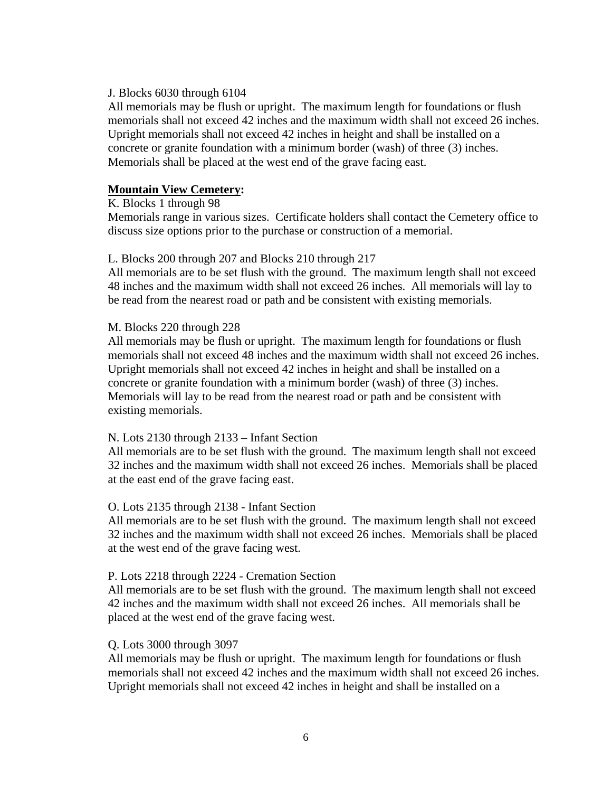## J. Blocks 6030 through 6104

All memorials may be flush or upright. The maximum length for foundations or flush memorials shall not exceed 42 inches and the maximum width shall not exceed 26 inches. Upright memorials shall not exceed 42 inches in height and shall be installed on a concrete or granite foundation with a minimum border (wash) of three (3) inches. Memorials shall be placed at the west end of the grave facing east.

# **Mountain View Cemetery:**

## K. Blocks 1 through 98

Memorials range in various sizes. Certificate holders shall contact the Cemetery office to discuss size options prior to the purchase or construction of a memorial.

## L. Blocks 200 through 207 and Blocks 210 through 217

All memorials are to be set flush with the ground. The maximum length shall not exceed 48 inches and the maximum width shall not exceed 26 inches. All memorials will lay to be read from the nearest road or path and be consistent with existing memorials.

## M. Blocks 220 through 228

All memorials may be flush or upright. The maximum length for foundations or flush memorials shall not exceed 48 inches and the maximum width shall not exceed 26 inches. Upright memorials shall not exceed 42 inches in height and shall be installed on a concrete or granite foundation with a minimum border (wash) of three (3) inches. Memorials will lay to be read from the nearest road or path and be consistent with existing memorials.

## N. Lots 2130 through 2133 – Infant Section

All memorials are to be set flush with the ground. The maximum length shall not exceed 32 inches and the maximum width shall not exceed 26 inches. Memorials shall be placed at the east end of the grave facing east.

## O. Lots 2135 through 2138 - Infant Section

All memorials are to be set flush with the ground. The maximum length shall not exceed 32 inches and the maximum width shall not exceed 26 inches. Memorials shall be placed at the west end of the grave facing west.

## P. Lots 2218 through 2224 - Cremation Section

All memorials are to be set flush with the ground. The maximum length shall not exceed 42 inches and the maximum width shall not exceed 26 inches. All memorials shall be placed at the west end of the grave facing west.

## Q. Lots 3000 through 3097

All memorials may be flush or upright. The maximum length for foundations or flush memorials shall not exceed 42 inches and the maximum width shall not exceed 26 inches. Upright memorials shall not exceed 42 inches in height and shall be installed on a